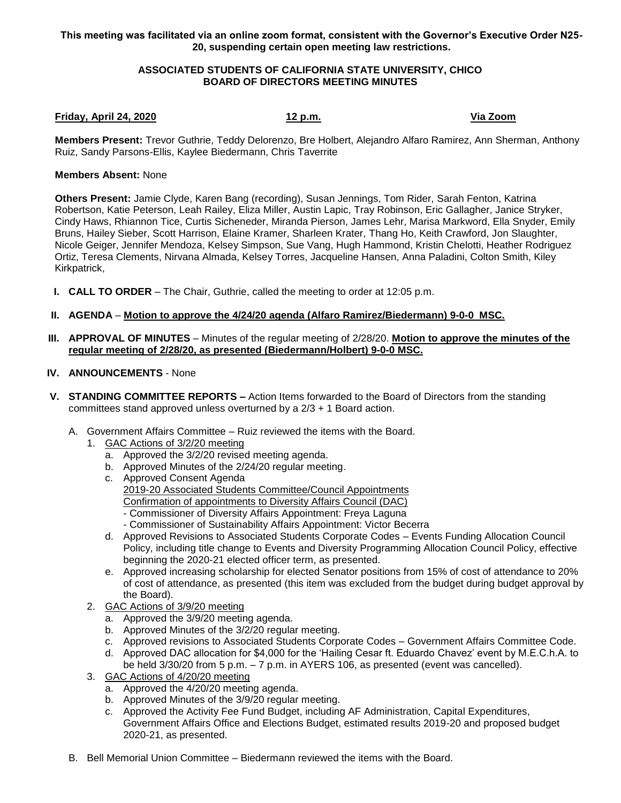**This meeting was facilitated via an online zoom format, consistent with the Governor's Executive Order N25- 20, suspending certain open meeting law restrictions.**

## **ASSOCIATED STUDENTS OF CALIFORNIA STATE UNIVERSITY, CHICO BOARD OF DIRECTORS MEETING MINUTES**

## **Friday, April 24, 2020 12 p.m. Via Zoom**

**Members Present:** Trevor Guthrie, Teddy Delorenzo, Bre Holbert, Alejandro Alfaro Ramirez, Ann Sherman, Anthony Ruiz, Sandy Parsons-Ellis, Kaylee Biedermann, Chris Taverrite

## **Members Absent:** None

**Others Present:** Jamie Clyde, Karen Bang (recording), Susan Jennings, Tom Rider, Sarah Fenton, Katrina Robertson, Katie Peterson, Leah Railey, Eliza Miller, Austin Lapic, Tray Robinson, Eric Gallagher, Janice Stryker, Cindy Haws, Rhiannon Tice, Curtis Sicheneder, Miranda Pierson, James Lehr, Marisa Markword, Ella Snyder, Emily Bruns, Hailey Sieber, Scott Harrison, Elaine Kramer, Sharleen Krater, Thang Ho, Keith Crawford, Jon Slaughter, Nicole Geiger, Jennifer Mendoza, Kelsey Simpson, Sue Vang, Hugh Hammond, Kristin Chelotti, Heather Rodriguez Ortiz, Teresa Clements, Nirvana Almada, Kelsey Torres, Jacqueline Hansen, Anna Paladini, Colton Smith, Kiley Kirkpatrick,

- **I. CALL TO ORDER** The Chair, Guthrie, called the meeting to order at 12:05 p.m.
- **II. AGENDA Motion to approve the 4/24/20 agenda (Alfaro Ramirez/Biedermann) 9-0-0 MSC.**
- **III. APPROVAL OF MINUTES** Minutes of the regular meeting of 2/28/20. **Motion to approve the minutes of the regular meeting of 2/28/20, as presented (Biedermann/Holbert) 9-0-0 MSC.**
- **IV. ANNOUNCEMENTS** None
- **V. STANDING COMMITTEE REPORTS –** Action Items forwarded to the Board of Directors from the standing committees stand approved unless overturned by a 2/3 + 1 Board action.
	- A. Government Affairs Committee Ruiz reviewed the items with the Board.
		- 1. GAC Actions of 3/2/20 meeting
			- a. Approved the 3/2/20 revised meeting agenda.
			- b. Approved Minutes of the 2/24/20 regular meeting.
			- c. Approved Consent Agenda 2019-20 Associated Students Committee/Council Appointments Confirmation of appointments to Diversity Affairs Council (DAC) - Commissioner of Diversity Affairs Appointment: Freya Laguna - Commissioner of Sustainability Affairs Appointment: Victor Becerra
			- d. Approved Revisions to Associated Students Corporate Codes Events Funding Allocation Council Policy, including title change to Events and Diversity Programming Allocation Council Policy, effective beginning the 2020-21 elected officer term, as presented.
			- e. Approved increasing scholarship for elected Senator positions from 15% of cost of attendance to 20% of cost of attendance, as presented (this item was excluded from the budget during budget approval by the Board).
		- 2. GAC Actions of 3/9/20 meeting
			- a. Approved the 3/9/20 meeting agenda.
			- b. Approved Minutes of the 3/2/20 regular meeting.
			- c. Approved revisions to Associated Students Corporate Codes Government Affairs Committee Code.
			- d. Approved DAC allocation for \$4,000 for the 'Hailing Cesar ft. Eduardo Chavez' event by M.E.C.h.A. to be held 3/30/20 from 5 p.m. – 7 p.m. in AYERS 106, as presented (event was cancelled).
		- 3. GAC Actions of 4/20/20 meeting
			- a. Approved the 4/20/20 meeting agenda.
			- b. Approved Minutes of the 3/9/20 regular meeting.
			- c. Approved the Activity Fee Fund Budget, including AF Administration, Capital Expenditures, Government Affairs Office and Elections Budget, estimated results 2019-20 and proposed budget 2020-21, as presented.
	- B. Bell Memorial Union Committee Biedermann reviewed the items with the Board.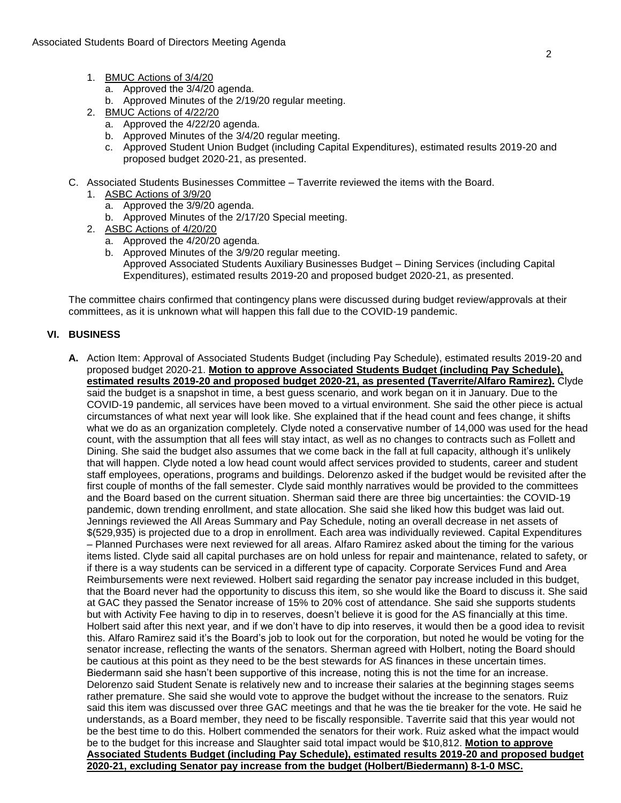- 1. BMUC Actions of 3/4/20
	- a. Approved the 3/4/20 agenda.
	- b. Approved Minutes of the 2/19/20 regular meeting.
- 2. BMUC Actions of 4/22/20
	- a. Approved the 4/22/20 agenda.
	- b. Approved Minutes of the 3/4/20 regular meeting.
	- c. Approved Student Union Budget (including Capital Expenditures), estimated results 2019-20 and proposed budget 2020-21, as presented.
- C. Associated Students Businesses Committee Taverrite reviewed the items with the Board.
	- 1. ASBC Actions of 3/9/20
		- a. Approved the 3/9/20 agenda.
		- b. Approved Minutes of the 2/17/20 Special meeting.
		- 2. ASBC Actions of 4/20/20
			- a. Approved the 4/20/20 agenda.
			- b. Approved Minutes of the 3/9/20 regular meeting. Approved Associated Students Auxiliary Businesses Budget – Dining Services (including Capital Expenditures), estimated results 2019-20 and proposed budget 2020-21, as presented.

The committee chairs confirmed that contingency plans were discussed during budget review/approvals at their committees, as it is unknown what will happen this fall due to the COVID-19 pandemic.

## **VI. BUSINESS**

**A.** Action Item: Approval of Associated Students Budget (including Pay Schedule), estimated results 2019-20 and proposed budget 2020-21. **Motion to approve Associated Students Budget (including Pay Schedule), estimated results 2019-20 and proposed budget 2020-21, as presented (Taverrite/Alfaro Ramirez).** Clyde said the budget is a snapshot in time, a best guess scenario, and work began on it in January. Due to the COVID-19 pandemic, all services have been moved to a virtual environment. She said the other piece is actual circumstances of what next year will look like. She explained that if the head count and fees change, it shifts what we do as an organization completely. Clyde noted a conservative number of 14,000 was used for the head count, with the assumption that all fees will stay intact, as well as no changes to contracts such as Follett and Dining. She said the budget also assumes that we come back in the fall at full capacity, although it's unlikely that will happen. Clyde noted a low head count would affect services provided to students, career and student staff employees, operations, programs and buildings. Delorenzo asked if the budget would be revisited after the first couple of months of the fall semester. Clyde said monthly narratives would be provided to the committees and the Board based on the current situation. Sherman said there are three big uncertainties: the COVID-19 pandemic, down trending enrollment, and state allocation. She said she liked how this budget was laid out. Jennings reviewed the All Areas Summary and Pay Schedule, noting an overall decrease in net assets of \$(529,935) is projected due to a drop in enrollment. Each area was individually reviewed. Capital Expenditures – Planned Purchases were next reviewed for all areas. Alfaro Ramirez asked about the timing for the various items listed. Clyde said all capital purchases are on hold unless for repair and maintenance, related to safety, or if there is a way students can be serviced in a different type of capacity. Corporate Services Fund and Area Reimbursements were next reviewed. Holbert said regarding the senator pay increase included in this budget, that the Board never had the opportunity to discuss this item, so she would like the Board to discuss it. She said at GAC they passed the Senator increase of 15% to 20% cost of attendance. She said she supports students but with Activity Fee having to dip in to reserves, doesn't believe it is good for the AS financially at this time. Holbert said after this next year, and if we don't have to dip into reserves, it would then be a good idea to revisit this. Alfaro Ramirez said it's the Board's job to look out for the corporation, but noted he would be voting for the senator increase, reflecting the wants of the senators. Sherman agreed with Holbert, noting the Board should be cautious at this point as they need to be the best stewards for AS finances in these uncertain times. Biedermann said she hasn't been supportive of this increase, noting this is not the time for an increase. Delorenzo said Student Senate is relatively new and to increase their salaries at the beginning stages seems rather premature. She said she would vote to approve the budget without the increase to the senators. Ruiz said this item was discussed over three GAC meetings and that he was the tie breaker for the vote. He said he understands, as a Board member, they need to be fiscally responsible. Taverrite said that this year would not be the best time to do this. Holbert commended the senators for their work. Ruiz asked what the impact would be to the budget for this increase and Slaughter said total impact would be \$10,812. **Motion to approve Associated Students Budget (including Pay Schedule), estimated results 2019-20 and proposed budget 2020-21, excluding Senator pay increase from the budget (Holbert/Biedermann) 8-1-0 MSC.**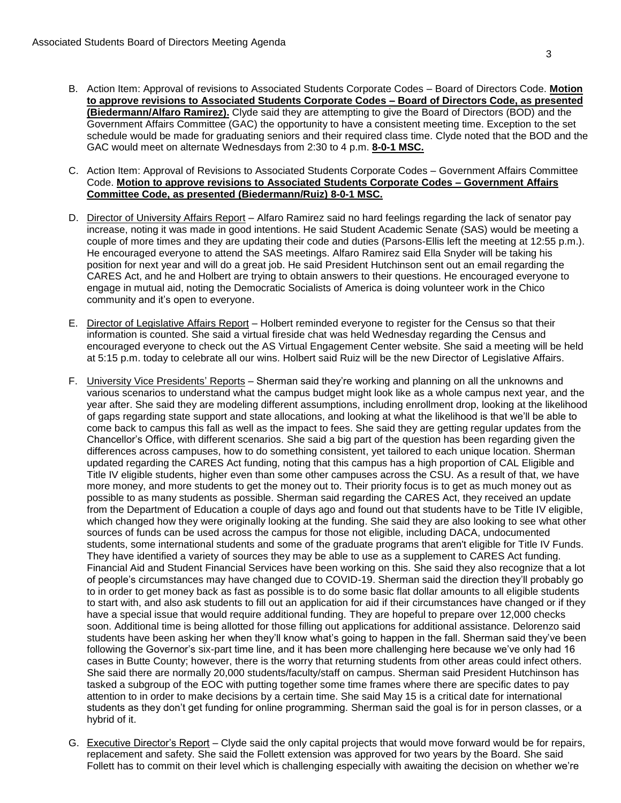- B. Action Item: Approval of revisions to Associated Students Corporate Codes Board of Directors Code. **Motion to approve revisions to Associated Students Corporate Codes – Board of Directors Code, as presented (Biedermann/Alfaro Ramirez).** Clyde said they are attempting to give the Board of Directors (BOD) and the Government Affairs Committee (GAC) the opportunity to have a consistent meeting time. Exception to the set schedule would be made for graduating seniors and their required class time. Clyde noted that the BOD and the GAC would meet on alternate Wednesdays from 2:30 to 4 p.m. **8-0-1 MSC.**
- C. Action Item: Approval of Revisions to Associated Students Corporate Codes Government Affairs Committee Code. **Motion to approve revisions to Associated Students Corporate Codes – Government Affairs Committee Code, as presented (Biedermann/Ruiz) 8-0-1 MSC.**
- D. Director of University Affairs Report Alfaro Ramirez said no hard feelings regarding the lack of senator pay increase, noting it was made in good intentions. He said Student Academic Senate (SAS) would be meeting a couple of more times and they are updating their code and duties (Parsons-Ellis left the meeting at 12:55 p.m.). He encouraged everyone to attend the SAS meetings. Alfaro Ramirez said Ella Snyder will be taking his position for next year and will do a great job. He said President Hutchinson sent out an email regarding the CARES Act, and he and Holbert are trying to obtain answers to their questions. He encouraged everyone to engage in mutual aid, noting the Democratic Socialists of America is doing volunteer work in the Chico community and it's open to everyone.
- E. Director of Legislative Affairs Report Holbert reminded everyone to register for the Census so that their information is counted. She said a virtual fireside chat was held Wednesday regarding the Census and encouraged everyone to check out the AS Virtual Engagement Center website. She said a meeting will be held at 5:15 p.m. today to celebrate all our wins. Holbert said Ruiz will be the new Director of Legislative Affairs.
- F. University Vice Presidents' Reports Sherman said they're working and planning on all the unknowns and various scenarios to understand what the campus budget might look like as a whole campus next year, and the year after. She said they are modeling different assumptions, including enrollment drop, looking at the likelihood of gaps regarding state support and state allocations, and looking at what the likelihood is that we'll be able to come back to campus this fall as well as the impact to fees. She said they are getting regular updates from the Chancellor's Office, with different scenarios. She said a big part of the question has been regarding given the differences across campuses, how to do something consistent, yet tailored to each unique location. Sherman updated regarding the CARES Act funding, noting that this campus has a high proportion of CAL Eligible and Title IV eligible students, higher even than some other campuses across the CSU. As a result of that, we have more money, and more students to get the money out to. Their priority focus is to get as much money out as possible to as many students as possible. Sherman said regarding the CARES Act, they received an update from the Department of Education a couple of days ago and found out that students have to be Title IV eligible, which changed how they were originally looking at the funding. She said they are also looking to see what other sources of funds can be used across the campus for those not eligible, including DACA, undocumented students, some international students and some of the graduate programs that aren't eligible for Title IV Funds. They have identified a variety of sources they may be able to use as a supplement to CARES Act funding. Financial Aid and Student Financial Services have been working on this. She said they also recognize that a lot of people's circumstances may have changed due to COVID-19. Sherman said the direction they'll probably go to in order to get money back as fast as possible is to do some basic flat dollar amounts to all eligible students to start with, and also ask students to fill out an application for aid if their circumstances have changed or if they have a special issue that would require additional funding. They are hopeful to prepare over 12,000 checks soon. Additional time is being allotted for those filling out applications for additional assistance. Delorenzo said students have been asking her when they'll know what's going to happen in the fall. Sherman said they've been following the Governor's six-part time line, and it has been more challenging here because we've only had 16 cases in Butte County; however, there is the worry that returning students from other areas could infect others. She said there are normally 20,000 students/faculty/staff on campus. Sherman said President Hutchinson has tasked a subgroup of the EOC with putting together some time frames where there are specific dates to pay attention to in order to make decisions by a certain time. She said May 15 is a critical date for international students as they don't get funding for online programming. Sherman said the goal is for in person classes, or a hybrid of it.
- G. Executive Director's Report Clyde said the only capital projects that would move forward would be for repairs, replacement and safety. She said the Follett extension was approved for two years by the Board. She said Follett has to commit on their level which is challenging especially with awaiting the decision on whether we're